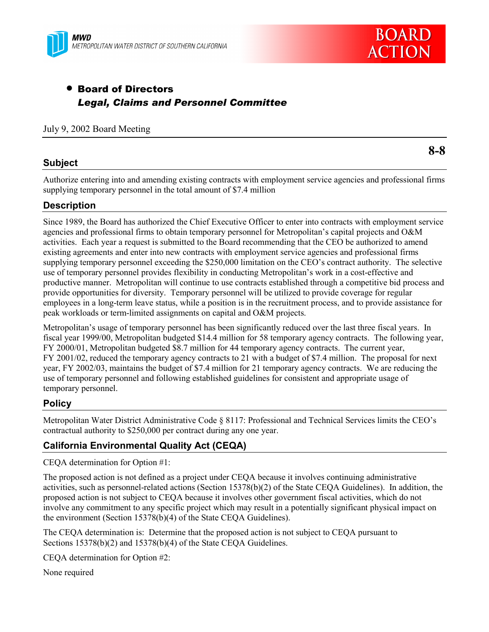



# • Board of Directors *Legal, Claims and Personnel Committee*

### July 9, 2002 Board Meeting

### **Subject**

Authorize entering into and amending existing contracts with employment service agencies and professional firms supplying temporary personnel in the total amount of \$7.4 million

## **Description**

Since 1989, the Board has authorized the Chief Executive Officer to enter into contracts with employment service agencies and professional firms to obtain temporary personnel for Metropolitan's capital projects and O&M activities. Each year a request is submitted to the Board recommending that the CEO be authorized to amend existing agreements and enter into new contracts with employment service agencies and professional firms supplying temporary personnel exceeding the \$250,000 limitation on the CEO's contract authority. The selective use of temporary personnel provides flexibility in conducting Metropolitan's work in a cost-effective and productive manner. Metropolitan will continue to use contracts established through a competitive bid process and provide opportunities for diversity. Temporary personnel will be utilized to provide coverage for regular employees in a long-term leave status, while a position is in the recruitment process, and to provide assistance for peak workloads or term-limited assignments on capital and O&M projects.

Metropolitan's usage of temporary personnel has been significantly reduced over the last three fiscal years. In fiscal year 1999/00, Metropolitan budgeted \$14.4 million for 58 temporary agency contracts. The following year, FY 2000/01, Metropolitan budgeted \$8.7 million for 44 temporary agency contracts. The current year, FY 2001/02, reduced the temporary agency contracts to 21 with a budget of \$7.4 million. The proposal for next year, FY 2002/03, maintains the budget of \$7.4 million for 21 temporary agency contracts. We are reducing the use of temporary personnel and following established guidelines for consistent and appropriate usage of temporary personnel.

### **Policy**

Metropolitan Water District Administrative Code § 8117: Professional and Technical Services limits the CEO's contractual authority to \$250,000 per contract during any one year.

# **California Environmental Quality Act (CEQA)**

CEQA determination for Option #1:

The proposed action is not defined as a project under CEQA because it involves continuing administrative activities, such as personnel-related actions (Section 15378(b)(2) of the State CEQA Guidelines). In addition, the proposed action is not subject to CEQA because it involves other government fiscal activities, which do not involve any commitment to any specific project which may result in a potentially significant physical impact on the environment (Section 15378(b)(4) of the State CEQA Guidelines).

The CEQA determination is: Determine that the proposed action is not subject to CEQA pursuant to Sections 15378(b)(2) and 15378(b)(4) of the State CEQA Guidelines.

CEQA determination for Option #2:

None required

**8-8**